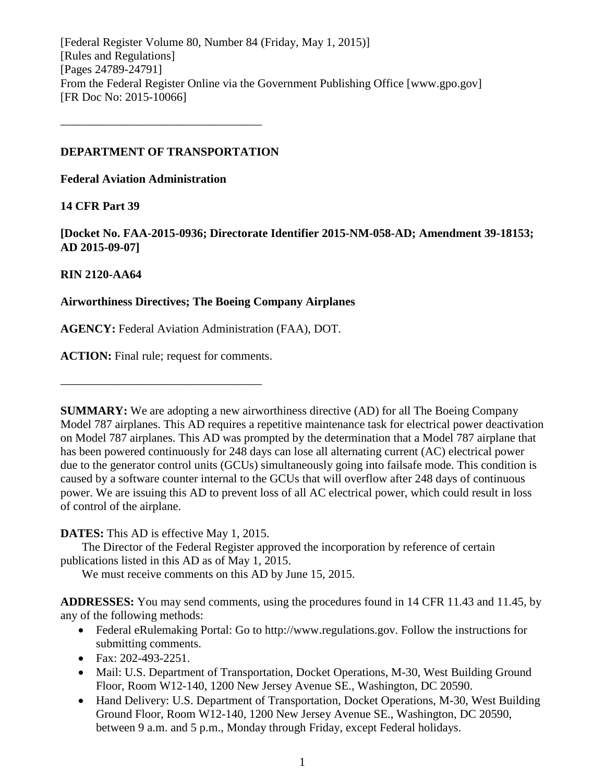[Federal Register Volume 80, Number 84 (Friday, May 1, 2015)] [Rules and Regulations] [Pages 24789-24791] From the Federal Register Online via the Government Publishing Office [www.gpo.gov] [FR Doc No: 2015-10066]

## **DEPARTMENT OF TRANSPORTATION**

––––––––––––––––––––––––––––––––––

**Federal Aviation Administration**

# **14 CFR Part 39**

**[Docket No. FAA-2015-0936; Directorate Identifier 2015-NM-058-AD; Amendment 39-18153; AD 2015-09-07]**

# **RIN 2120-AA64**

# **Airworthiness Directives; The Boeing Company Airplanes**

**AGENCY:** Federal Aviation Administration (FAA), DOT.

**ACTION:** Final rule; request for comments.

––––––––––––––––––––––––––––––––––

**SUMMARY:** We are adopting a new airworthiness directive (AD) for all The Boeing Company Model 787 airplanes. This AD requires a repetitive maintenance task for electrical power deactivation on Model 787 airplanes. This AD was prompted by the determination that a Model 787 airplane that has been powered continuously for 248 days can lose all alternating current (AC) electrical power due to the generator control units (GCUs) simultaneously going into failsafe mode. This condition is caused by a software counter internal to the GCUs that will overflow after 248 days of continuous power. We are issuing this AD to prevent loss of all AC electrical power, which could result in loss of control of the airplane.

# **DATES:** This AD is effective May 1, 2015.

The Director of the Federal Register approved the incorporation by reference of certain publications listed in this AD as of May 1, 2015.

We must receive comments on this AD by June 15, 2015.

**ADDRESSES:** You may send comments, using the procedures found in 14 CFR 11.43 and 11.45, by any of the following methods:

- Federal eRulemaking Portal: Go to http://www.regulations.gov. Follow the instructions for submitting comments.
- Fax: 202-493-2251.
- Mail: U.S. Department of Transportation, Docket Operations, M-30, West Building Ground Floor, Room W12-140, 1200 New Jersey Avenue SE., Washington, DC 20590.
- Hand Delivery: U.S. Department of Transportation, Docket Operations, M-30, West Building Ground Floor, Room W12-140, 1200 New Jersey Avenue SE., Washington, DC 20590, between 9 a.m. and 5 p.m., Monday through Friday, except Federal holidays.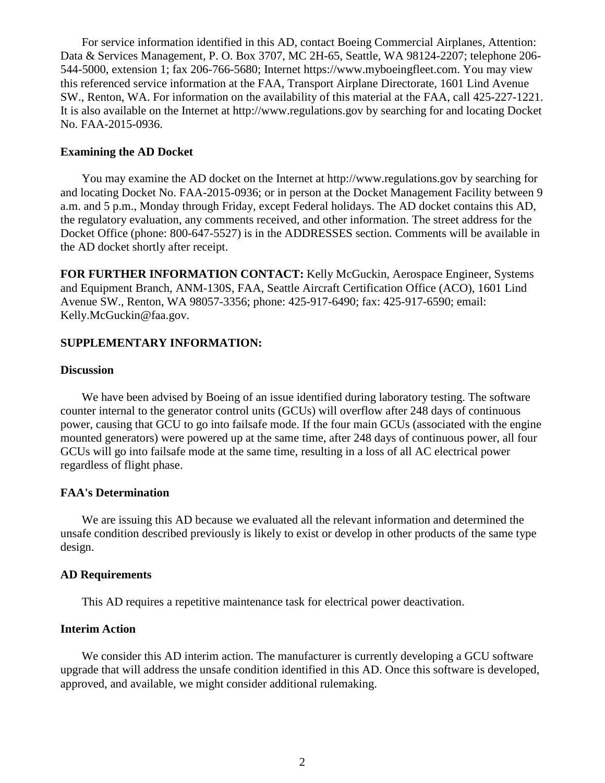For service information identified in this AD, contact Boeing Commercial Airplanes, Attention: Data & Services Management, P. O. Box 3707, MC 2H-65, Seattle, WA 98124-2207; telephone 206- 544-5000, extension 1; fax 206-766-5680; Internet https://www.myboeingfleet.com. You may view this referenced service information at the FAA, Transport Airplane Directorate, 1601 Lind Avenue SW., Renton, WA. For information on the availability of this material at the FAA, call 425-227-1221. It is also available on the Internet at http://www.regulations.gov by searching for and locating Docket No. FAA-2015-0936.

#### **Examining the AD Docket**

You may examine the AD docket on the Internet at http://www.regulations.gov by searching for and locating Docket No. FAA-2015-0936; or in person at the Docket Management Facility between 9 a.m. and 5 p.m., Monday through Friday, except Federal holidays. The AD docket contains this AD, the regulatory evaluation, any comments received, and other information. The street address for the Docket Office (phone: 800-647-5527) is in the ADDRESSES section. Comments will be available in the AD docket shortly after receipt.

**FOR FURTHER INFORMATION CONTACT:** Kelly McGuckin, Aerospace Engineer, Systems and Equipment Branch, ANM-130S, FAA, Seattle Aircraft Certification Office (ACO), 1601 Lind Avenue SW., Renton, WA 98057-3356; phone: 425-917-6490; fax: 425-917-6590; email: Kelly.McGuckin@faa.gov.

## **SUPPLEMENTARY INFORMATION:**

## **Discussion**

We have been advised by Boeing of an issue identified during laboratory testing. The software counter internal to the generator control units (GCUs) will overflow after 248 days of continuous power, causing that GCU to go into failsafe mode. If the four main GCUs (associated with the engine mounted generators) were powered up at the same time, after 248 days of continuous power, all four GCUs will go into failsafe mode at the same time, resulting in a loss of all AC electrical power regardless of flight phase.

#### **FAA's Determination**

We are issuing this AD because we evaluated all the relevant information and determined the unsafe condition described previously is likely to exist or develop in other products of the same type design.

#### **AD Requirements**

This AD requires a repetitive maintenance task for electrical power deactivation.

#### **Interim Action**

We consider this AD interim action. The manufacturer is currently developing a GCU software upgrade that will address the unsafe condition identified in this AD. Once this software is developed, approved, and available, we might consider additional rulemaking.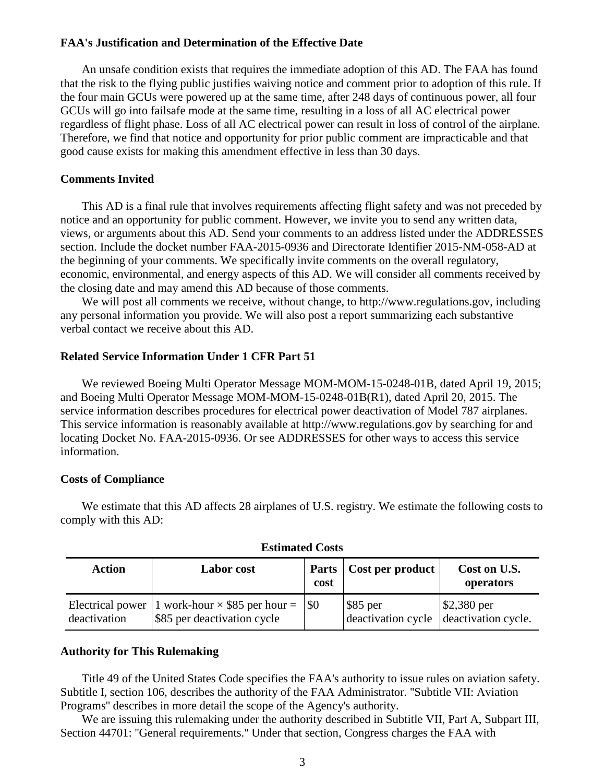## **FAA's Justification and Determination of the Effective Date**

An unsafe condition exists that requires the immediate adoption of this AD. The FAA has found that the risk to the flying public justifies waiving notice and comment prior to adoption of this rule. If the four main GCUs were powered up at the same time, after 248 days of continuous power, all four GCUs will go into failsafe mode at the same time, resulting in a loss of all AC electrical power regardless of flight phase. Loss of all AC electrical power can result in loss of control of the airplane. Therefore, we find that notice and opportunity for prior public comment are impracticable and that good cause exists for making this amendment effective in less than 30 days.

## **Comments Invited**

This AD is a final rule that involves requirements affecting flight safety and was not preceded by notice and an opportunity for public comment. However, we invite you to send any written data, views, or arguments about this AD. Send your comments to an address listed under the ADDRESSES section. Include the docket number FAA-2015-0936 and Directorate Identifier 2015-NM-058-AD at the beginning of your comments. We specifically invite comments on the overall regulatory, economic, environmental, and energy aspects of this AD. We will consider all comments received by the closing date and may amend this AD because of those comments.

We will post all comments we receive, without change, to http://www.regulations.gov, including any personal information you provide. We will also post a report summarizing each substantive verbal contact we receive about this AD.

## **Related Service Information Under 1 CFR Part 51**

We reviewed Boeing Multi Operator Message MOM-MOM-15-0248-01B, dated April 19, 2015; and Boeing Multi Operator Message MOM-MOM-15-0248-01B(R1), dated April 20, 2015. The service information describes procedures for electrical power deactivation of Model 787 airplanes. This service information is reasonably available at http://www.regulations.gov by searching for and locating Docket No. FAA-2015-0936. Or see ADDRESSES for other ways to access this service information.

#### **Costs of Compliance**

We estimate that this AD affects 28 airplanes of U.S. registry. We estimate the following costs to comply with this AD:

| Action                           | <b>Labor</b> cost                                                        | cost | Parts   Cost per product                                           | Cost on U.S.<br>operators      |
|----------------------------------|--------------------------------------------------------------------------|------|--------------------------------------------------------------------|--------------------------------|
| Electrical power<br>deactivation | 1 work-hour $\times$ \$85 per hour = \\$0<br>\$85 per deactivation cycle |      | $\frac{1}{2}$ \$85 per<br>deactivation cycle   deactivation cycle. | $\frac{$2,380 \text{ per}}{2}$ |

**Estimated Costs**

#### **Authority for This Rulemaking**

Title 49 of the United States Code specifies the FAA's authority to issue rules on aviation safety. Subtitle I, section 106, describes the authority of the FAA Administrator. ''Subtitle VII: Aviation Programs'' describes in more detail the scope of the Agency's authority.

We are issuing this rulemaking under the authority described in Subtitle VII, Part A, Subpart III, Section 44701: ''General requirements.'' Under that section, Congress charges the FAA with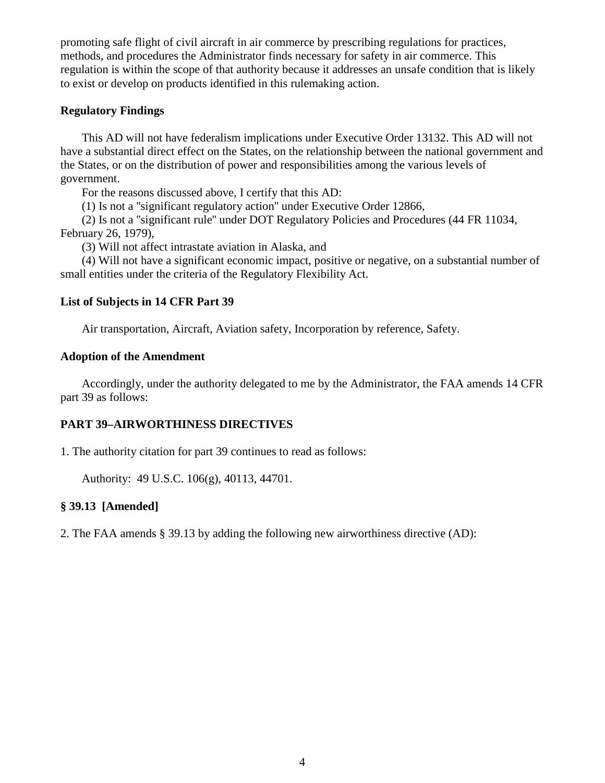promoting safe flight of civil aircraft in air commerce by prescribing regulations for practices, methods, and procedures the Administrator finds necessary for safety in air commerce. This regulation is within the scope of that authority because it addresses an unsafe condition that is likely to exist or develop on products identified in this rulemaking action.

# **Regulatory Findings**

This AD will not have federalism implications under Executive Order 13132. This AD will not have a substantial direct effect on the States, on the relationship between the national government and the States, or on the distribution of power and responsibilities among the various levels of government.

For the reasons discussed above, I certify that this AD:

(1) Is not a ''significant regulatory action'' under Executive Order 12866,

(2) Is not a ''significant rule'' under DOT Regulatory Policies and Procedures (44 FR 11034, February 26, 1979),

(3) Will not affect intrastate aviation in Alaska, and

(4) Will not have a significant economic impact, positive or negative, on a substantial number of small entities under the criteria of the Regulatory Flexibility Act.

# **List of Subjects in 14 CFR Part 39**

Air transportation, Aircraft, Aviation safety, Incorporation by reference, Safety.

# **Adoption of the Amendment**

Accordingly, under the authority delegated to me by the Administrator, the FAA amends 14 CFR part 39 as follows:

# **PART 39–AIRWORTHINESS DIRECTIVES**

1. The authority citation for part 39 continues to read as follows:

Authority: 49 U.S.C. 106(g), 40113, 44701.

# **§ 39.13 [Amended]**

2. The FAA amends § 39.13 by adding the following new airworthiness directive (AD):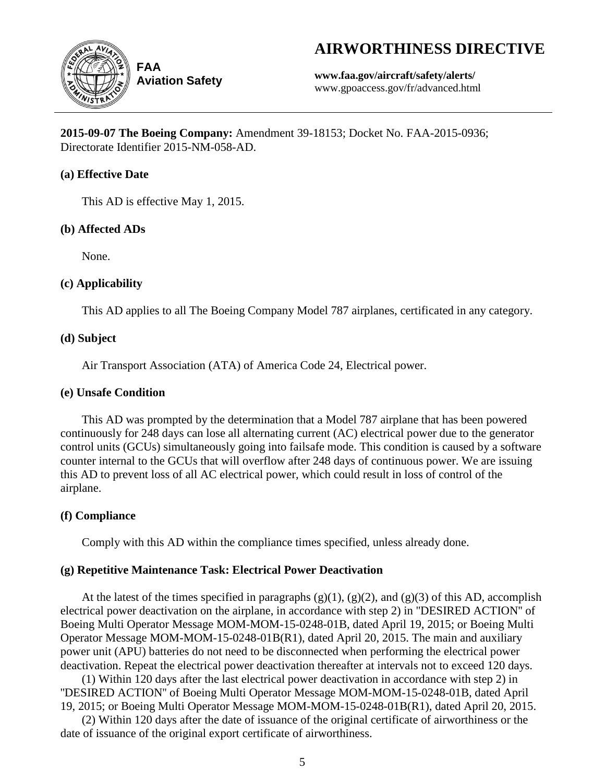# **AIRWORTHINESS DIRECTIVE**



**Aviation Safety**

**www.faa.gov/aircraft/safety/alerts/** www.gpoaccess.gov/fr/advanced.html

**2015-09-07 The Boeing Company:** Amendment 39-18153; Docket No. FAA-2015-0936; Directorate Identifier 2015-NM-058-AD.

# **(a) Effective Date**

This AD is effective May 1, 2015.

# **(b) Affected ADs**

None.

# **(c) Applicability**

This AD applies to all The Boeing Company Model 787 airplanes, certificated in any category.

# **(d) Subject**

Air Transport Association (ATA) of America Code 24, Electrical power.

# **(e) Unsafe Condition**

This AD was prompted by the determination that a Model 787 airplane that has been powered continuously for 248 days can lose all alternating current (AC) electrical power due to the generator control units (GCUs) simultaneously going into failsafe mode. This condition is caused by a software counter internal to the GCUs that will overflow after 248 days of continuous power. We are issuing this AD to prevent loss of all AC electrical power, which could result in loss of control of the airplane.

# **(f) Compliance**

Comply with this AD within the compliance times specified, unless already done.

# **(g) Repetitive Maintenance Task: Electrical Power Deactivation**

At the latest of the times specified in paragraphs  $(g)(1)$ ,  $(g)(2)$ , and  $(g)(3)$  of this AD, accomplish electrical power deactivation on the airplane, in accordance with step 2) in ''DESIRED ACTION'' of Boeing Multi Operator Message MOM-MOM-15-0248-01B, dated April 19, 2015; or Boeing Multi Operator Message MOM-MOM-15-0248-01B(R1), dated April 20, 2015. The main and auxiliary power unit (APU) batteries do not need to be disconnected when performing the electrical power deactivation. Repeat the electrical power deactivation thereafter at intervals not to exceed 120 days.

(1) Within 120 days after the last electrical power deactivation in accordance with step 2) in ''DESIRED ACTION'' of Boeing Multi Operator Message MOM-MOM-15-0248-01B, dated April 19, 2015; or Boeing Multi Operator Message MOM-MOM-15-0248-01B(R1), dated April 20, 2015.

(2) Within 120 days after the date of issuance of the original certificate of airworthiness or the date of issuance of the original export certificate of airworthiness.